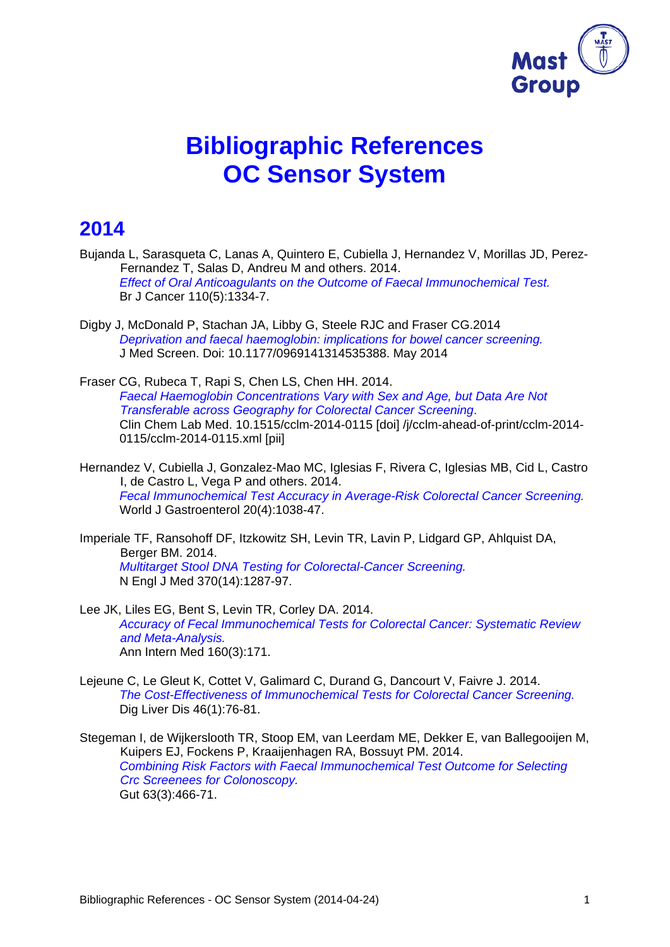

# **Bibliographic References OC Sensor System**

## **2014**

- Bujanda L, Sarasqueta C, Lanas A, Quintero E, Cubiella J, Hernandez V, Morillas JD, Perez-Fernandez T, Salas D, Andreu M and others. 2014. *Effect of Oral Anticoagulants on the Outcome of Faecal Immunochemical Test.* Br J Cancer 110(5):1334-7.
- Digby J, McDonald P, Stachan JA, Libby G, Steele RJC and Fraser CG.2014 *Deprivation and faecal haemoglobin: implications for bowel cancer screening.*  J Med Screen. Doi: 10.1177/0969141314535388. May 2014
- Fraser CG, Rubeca T, Rapi S, Chen LS, Chen HH. 2014. *Faecal Haemoglobin Concentrations Vary with Sex and Age, but Data Are Not Transferable across Geography for Colorectal Cancer Screening*. Clin Chem Lab Med. 10.1515/cclm-2014-0115 [doi] /j/cclm-ahead-of-print/cclm-2014- 0115/cclm-2014-0115.xml [pii]
- Hernandez V, Cubiella J, Gonzalez-Mao MC, Iglesias F, Rivera C, Iglesias MB, Cid L, Castro I, de Castro L, Vega P and others. 2014. *Fecal Immunochemical Test Accuracy in Average-Risk Colorectal Cancer Screening.* World J Gastroenterol 20(4):1038-47.

Imperiale TF, Ransohoff DF, Itzkowitz SH, Levin TR, Lavin P, Lidgard GP, Ahlquist DA, Berger BM. 2014. *Multitarget Stool DNA Testing for Colorectal-Cancer Screening.*  N Engl J Med 370(14):1287-97.

- Lee JK, Liles EG, Bent S, Levin TR, Corley DA. 2014. *Accuracy of Fecal Immunochemical Tests for Colorectal Cancer: Systematic Review and Meta-Analysis.*  Ann Intern Med 160(3):171.
- Lejeune C, Le Gleut K, Cottet V, Galimard C, Durand G, Dancourt V, Faivre J. 2014. *The Cost-Effectiveness of Immunochemical Tests for Colorectal Cancer Screening.* Dig Liver Dis 46(1):76-81.
- Stegeman I, de Wijkerslooth TR, Stoop EM, van Leerdam ME, Dekker E, van Ballegooijen M, Kuipers EJ, Fockens P, Kraaijenhagen RA, Bossuyt PM. 2014. *Combining Risk Factors with Faecal Immunochemical Test Outcome for Selecting Crc Screenees for Colonoscopy.*  Gut 63(3):466-71.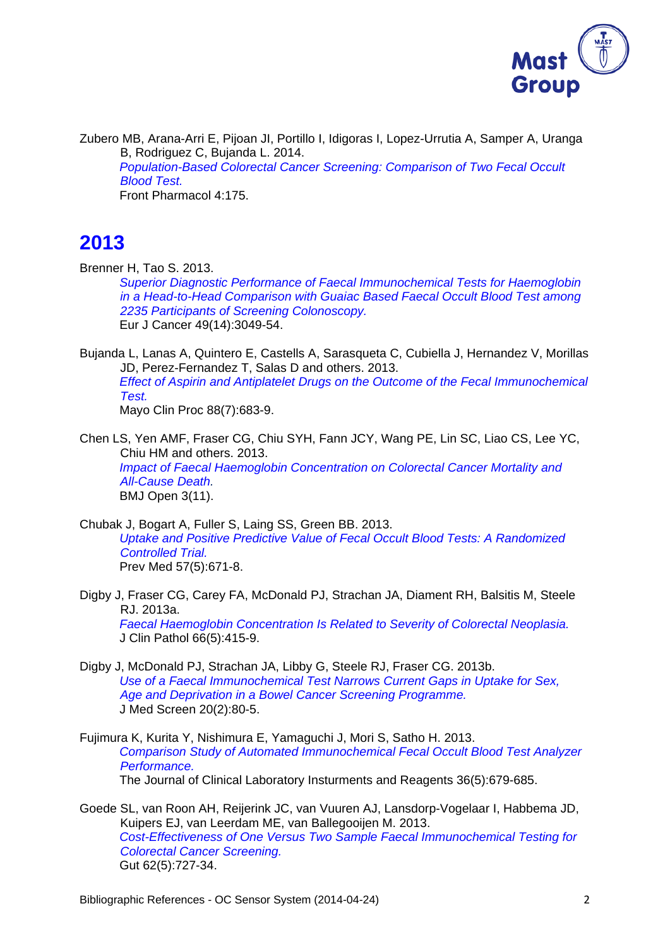

Zubero MB, Arana-Arri E, Pijoan JI, Portillo I, Idigoras I, Lopez-Urrutia A, Samper A, Uranga B, Rodriguez C, Bujanda L. 2014. *Population-Based Colorectal Cancer Screening: Comparison of Two Fecal Occult Blood Test.*  Front Pharmacol 4:175.

# **2013**

Brenner H, Tao S. 2013.

*Superior Diagnostic Performance of Faecal Immunochemical Tests for Haemoglobin in a Head-to-Head Comparison with Guaiac Based Faecal Occult Blood Test among 2235 Participants of Screening Colonoscopy.*  Eur J Cancer 49(14):3049-54.

Bujanda L, Lanas A, Quintero E, Castells A, Sarasqueta C, Cubiella J, Hernandez V, Morillas JD, Perez-Fernandez T, Salas D and others. 2013. *Effect of Aspirin and Antiplatelet Drugs on the Outcome of the Fecal Immunochemical Test.*  Mayo Clin Proc 88(7):683-9.

Chen LS, Yen AMF, Fraser CG, Chiu SYH, Fann JCY, Wang PE, Lin SC, Liao CS, Lee YC, Chiu HM and others. 2013. *Impact of Faecal Haemoglobin Concentration on Colorectal Cancer Mortality and All-Cause Death.*  BMJ Open 3(11).

- Chubak J, Bogart A, Fuller S, Laing SS, Green BB. 2013. *Uptake and Positive Predictive Value of Fecal Occult Blood Tests: A Randomized Controlled Trial.*  Prev Med 57(5):671-8.
- Digby J, Fraser CG, Carey FA, McDonald PJ, Strachan JA, Diament RH, Balsitis M, Steele RJ. 2013a. *Faecal Haemoglobin Concentration Is Related to Severity of Colorectal Neoplasia.*  J Clin Pathol 66(5):415-9.
- Digby J, McDonald PJ, Strachan JA, Libby G, Steele RJ, Fraser CG. 2013b. *Use of a Faecal Immunochemical Test Narrows Current Gaps in Uptake for Sex, Age and Deprivation in a Bowel Cancer Screening Programme.*  J Med Screen 20(2):80-5.
- Fujimura K, Kurita Y, Nishimura E, Yamaguchi J, Mori S, Satho H. 2013. *Comparison Study of Automated Immunochemical Fecal Occult Blood Test Analyzer Performance.*  The Journal of Clinical Laboratory Insturments and Reagents 36(5):679-685.
- Goede SL, van Roon AH, Reijerink JC, van Vuuren AJ, Lansdorp-Vogelaar I, Habbema JD, Kuipers EJ, van Leerdam ME, van Ballegooijen M. 2013. *Cost-Effectiveness of One Versus Two Sample Faecal Immunochemical Testing for Colorectal Cancer Screening.*  Gut 62(5):727-34.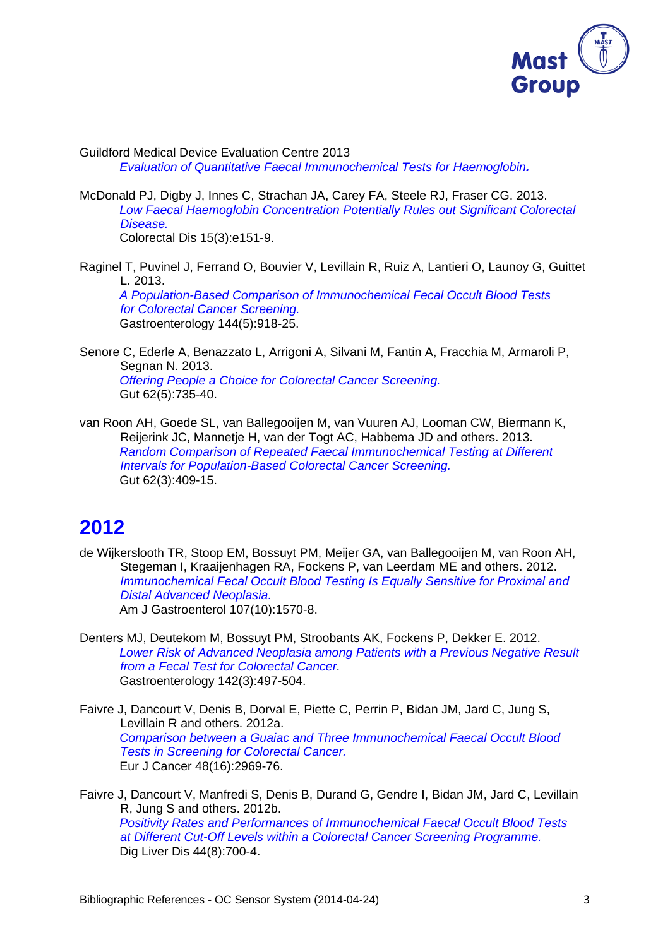

Guildford Medical Device Evaluation Centre 2013 *Evaluation of Quantitative Faecal Immunochemical Tests for Haemoglobin.*

- McDonald PJ, Digby J, Innes C, Strachan JA, Carey FA, Steele RJ, Fraser CG. 2013. *Low Faecal Haemoglobin Concentration Potentially Rules out Significant Colorectal Disease.*  Colorectal Dis 15(3):e151-9.
- Raginel T, Puvinel J, Ferrand O, Bouvier V, Levillain R, Ruiz A, Lantieri O, Launoy G, Guittet L. 2013. *A Population-Based Comparison of Immunochemical Fecal Occult Blood Tests for Colorectal Cancer Screening.*  Gastroenterology 144(5):918-25.
- Senore C, Ederle A, Benazzato L, Arrigoni A, Silvani M, Fantin A, Fracchia M, Armaroli P, Segnan N. 2013. *Offering People a Choice for Colorectal Cancer Screening.*  Gut 62(5):735-40.
- van Roon AH, Goede SL, van Ballegooijen M, van Vuuren AJ, Looman CW, Biermann K, Reijerink JC, Mannetje H, van der Togt AC, Habbema JD and others. 2013. *Random Comparison of Repeated Faecal Immunochemical Testing at Different Intervals for Population-Based Colorectal Cancer Screening.*  Gut 62(3):409-15.

# **2012**

- de Wijkerslooth TR, Stoop EM, Bossuyt PM, Meijer GA, van Ballegooijen M, van Roon AH, Stegeman I, Kraaijenhagen RA, Fockens P, van Leerdam ME and others. 2012. *Immunochemical Fecal Occult Blood Testing Is Equally Sensitive for Proximal and Distal Advanced Neoplasia.*  Am J Gastroenterol 107(10):1570-8.
- Denters MJ, Deutekom M, Bossuyt PM, Stroobants AK, Fockens P, Dekker E. 2012. *Lower Risk of Advanced Neoplasia among Patients with a Previous Negative Result from a Fecal Test for Colorectal Cancer.*  Gastroenterology 142(3):497-504.
- Faivre J, Dancourt V, Denis B, Dorval E, Piette C, Perrin P, Bidan JM, Jard C, Jung S, Levillain R and others. 2012a. *Comparison between a Guaiac and Three Immunochemical Faecal Occult Blood Tests in Screening for Colorectal Cancer.*  Eur J Cancer 48(16):2969-76.
- Faivre J, Dancourt V, Manfredi S, Denis B, Durand G, Gendre I, Bidan JM, Jard C, Levillain R, Jung S and others. 2012b. *Positivity Rates and Performances of Immunochemical Faecal Occult Blood Tests at Different Cut-Off Levels within a Colorectal Cancer Screening Programme.*  Dig Liver Dis 44(8):700-4.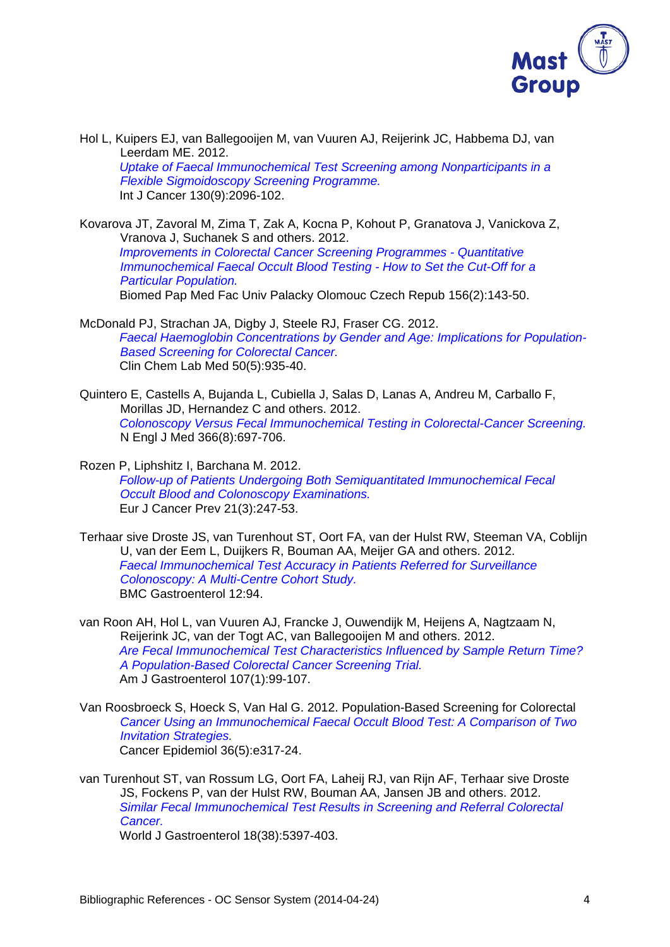

Hol L, Kuipers EJ, van Ballegooijen M, van Vuuren AJ, Reijerink JC, Habbema DJ, van Leerdam ME. 2012. *Uptake of Faecal Immunochemical Test Screening among Nonparticipants in a Flexible Sigmoidoscopy Screening Programme.* Int J Cancer 130(9):2096-102.

Kovarova JT, Zavoral M, Zima T, Zak A, Kocna P, Kohout P, Granatova J, Vanickova Z, Vranova J, Suchanek S and others. 2012. *Improvements in Colorectal Cancer Screening Programmes - Quantitative Immunochemical Faecal Occult Blood Testing - How to Set the Cut-Off for a Particular Population.*  Biomed Pap Med Fac Univ Palacky Olomouc Czech Repub 156(2):143-50.

- McDonald PJ, Strachan JA, Digby J, Steele RJ, Fraser CG. 2012. *Faecal Haemoglobin Concentrations by Gender and Age: Implications for Population-Based Screening for Colorectal Cancer.*  Clin Chem Lab Med 50(5):935-40.
- Quintero E, Castells A, Bujanda L, Cubiella J, Salas D, Lanas A, Andreu M, Carballo F, Morillas JD, Hernandez C and others. 2012. *Colonoscopy Versus Fecal Immunochemical Testing in Colorectal-Cancer Screening.* N Engl J Med 366(8):697-706.
- Rozen P, Liphshitz I, Barchana M. 2012. *Follow-up of Patients Undergoing Both Semiquantitated Immunochemical Fecal Occult Blood and Colonoscopy Examinations.*  Eur J Cancer Prev 21(3):247-53.
- Terhaar sive Droste JS, van Turenhout ST, Oort FA, van der Hulst RW, Steeman VA, Coblijn U, van der Eem L, Duijkers R, Bouman AA, Meijer GA and others. 2012. *Faecal Immunochemical Test Accuracy in Patients Referred for Surveillance Colonoscopy: A Multi-Centre Cohort Study.*  BMC Gastroenterol 12:94.
- van Roon AH, Hol L, van Vuuren AJ, Francke J, Ouwendijk M, Heijens A, Nagtzaam N, Reijerink JC, van der Togt AC, van Ballegooijen M and others. 2012. *Are Fecal Immunochemical Test Characteristics Influenced by Sample Return Time? A Population-Based Colorectal Cancer Screening Trial.*  Am J Gastroenterol 107(1):99-107.
- Van Roosbroeck S, Hoeck S, Van Hal G. 2012. Population-Based Screening for Colorectal *Cancer Using an Immunochemical Faecal Occult Blood Test: A Comparison of Two Invitation Strategies.* Cancer Epidemiol 36(5):e317-24.
- van Turenhout ST, van Rossum LG, Oort FA, Laheij RJ, van Rijn AF, Terhaar sive Droste JS, Fockens P, van der Hulst RW, Bouman AA, Jansen JB and others. 2012. *Similar Fecal Immunochemical Test Results in Screening and Referral Colorectal Cancer.*

World J Gastroenterol 18(38):5397-403.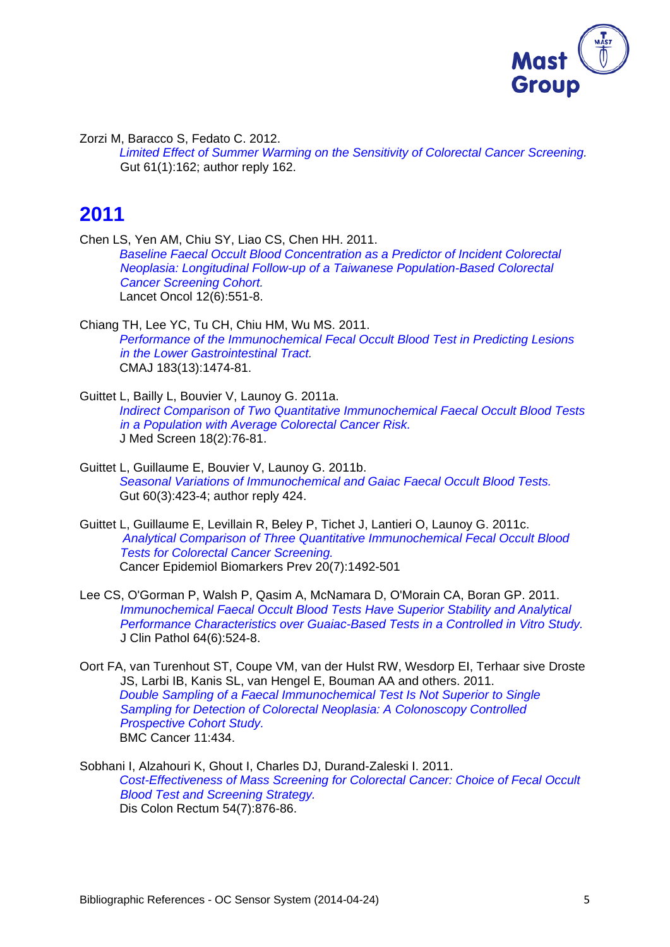

Zorzi M, Baracco S, Fedato C. 2012.

*Limited Effect of Summer Warming on the Sensitivity of Colorectal Cancer Screening.*  Gut 61(1):162; author reply 162.

## **2011**

Chen LS, Yen AM, Chiu SY, Liao CS, Chen HH. 2011. *Baseline Faecal Occult Blood Concentration as a Predictor of Incident Colorectal Neoplasia: Longitudinal Follow-up of a Taiwanese Population-Based Colorectal Cancer Screening Cohort.*  Lancet Oncol 12(6):551-8.

- Chiang TH, Lee YC, Tu CH, Chiu HM, Wu MS. 2011. *Performance of the Immunochemical Fecal Occult Blood Test in Predicting Lesions in the Lower Gastrointestinal Tract.*  CMAJ 183(13):1474-81.
- Guittet L, Bailly L, Bouvier V, Launoy G. 2011a. *Indirect Comparison of Two Quantitative Immunochemical Faecal Occult Blood Tests in a Population with Average Colorectal Cancer Risk.*  J Med Screen 18(2):76-81.
- Guittet L, Guillaume E, Bouvier V, Launoy G. 2011b. *Seasonal Variations of Immunochemical and Gaiac Faecal Occult Blood Tests.*  Gut 60(3):423-4; author reply 424.
- Guittet L, Guillaume E, Levillain R, Beley P, Tichet J, Lantieri O, Launoy G. 2011c. *Analytical Comparison of Three Quantitative Immunochemical Fecal Occult Blood Tests for Colorectal Cancer Screening.*  Cancer Epidemiol Biomarkers Prev 20(7):1492-501
- Lee CS, O'Gorman P, Walsh P, Qasim A, McNamara D, O'Morain CA, Boran GP. 2011. **Immunochemical Faecal Occult Blood Tests Have Superior Stability and Analytical** *Performance Characteristics over Guaiac-Based Tests in a Controlled in Vitro Study.* J Clin Pathol 64(6):524-8.
- Oort FA, van Turenhout ST, Coupe VM, van der Hulst RW, Wesdorp EI, Terhaar sive Droste JS, Larbi IB, Kanis SL, van Hengel E, Bouman AA and others. 2011. *Double Sampling of a Faecal Immunochemical Test Is Not Superior to Single Sampling for Detection of Colorectal Neoplasia: A Colonoscopy Controlled Prospective Cohort Study.*  BMC Cancer 11:434.
- Sobhani I, Alzahouri K, Ghout I, Charles DJ, Durand-Zaleski I. 2011. *Cost-Effectiveness of Mass Screening for Colorectal Cancer: Choice of Fecal Occult Blood Test and Screening Strategy.*  Dis Colon Rectum 54(7):876-86.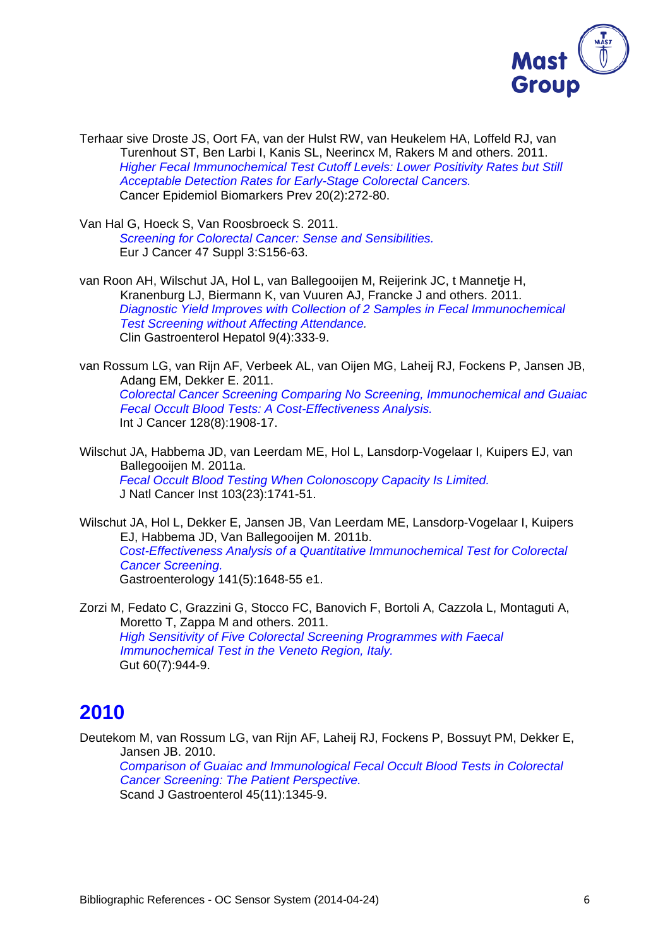

Terhaar sive Droste JS, Oort FA, van der Hulst RW, van Heukelem HA, Loffeld RJ, van Turenhout ST, Ben Larbi I, Kanis SL, Neerincx M, Rakers M and others. 2011. *Higher Fecal Immunochemical Test Cutoff Levels: Lower Positivity Rates but Still Acceptable Detection Rates for Early-Stage Colorectal Cancers.*  Cancer Epidemiol Biomarkers Prev 20(2):272-80.

Van Hal G, Hoeck S, Van Roosbroeck S. 2011. *Screening for Colorectal Cancer: Sense and Sensibilities.*  Eur J Cancer 47 Suppl 3:S156-63.

van Roon AH, Wilschut JA, Hol L, van Ballegooijen M, Reijerink JC, t Mannetje H, Kranenburg LJ, Biermann K, van Vuuren AJ, Francke J and others. 2011. *Diagnostic Yield Improves with Collection of 2 Samples in Fecal Immunochemical Test Screening without Affecting Attendance.*  Clin Gastroenterol Hepatol 9(4):333-9.

van Rossum LG, van Rijn AF, Verbeek AL, van Oijen MG, Laheij RJ, Fockens P, Jansen JB, Adang EM, Dekker E. 2011. *Colorectal Cancer Screening Comparing No Screening, Immunochemical and Guaiac Fecal Occult Blood Tests: A Cost-Effectiveness Analysis.*  Int J Cancer 128(8):1908-17.

Wilschut JA, Habbema JD, van Leerdam ME, Hol L, Lansdorp-Vogelaar I, Kuipers EJ, van Ballegooijen M. 2011a. *Fecal Occult Blood Testing When Colonoscopy Capacity Is Limited.*  J Natl Cancer Inst 103(23):1741-51.

Wilschut JA, Hol L, Dekker E, Jansen JB, Van Leerdam ME, Lansdorp-Vogelaar I, Kuipers EJ, Habbema JD, Van Ballegooijen M. 2011b. *Cost-Effectiveness Analysis of a Quantitative Immunochemical Test for Colorectal Cancer Screening.*  Gastroenterology 141(5):1648-55 e1.

Zorzi M, Fedato C, Grazzini G, Stocco FC, Banovich F, Bortoli A, Cazzola L, Montaguti A, Moretto T, Zappa M and others. 2011. *High Sensitivity of Five Colorectal Screening Programmes with Faecal Immunochemical Test in the Veneto Region, Italy.*  Gut 60(7):944-9.

#### **2010**

Deutekom M, van Rossum LG, van Rijn AF, Laheij RJ, Fockens P, Bossuyt PM, Dekker E, Jansen JB. 2010.

*Comparison of Guaiac and Immunological Fecal Occult Blood Tests in Colorectal Cancer Screening: The Patient Perspective.*  Scand J Gastroenterol 45(11):1345-9.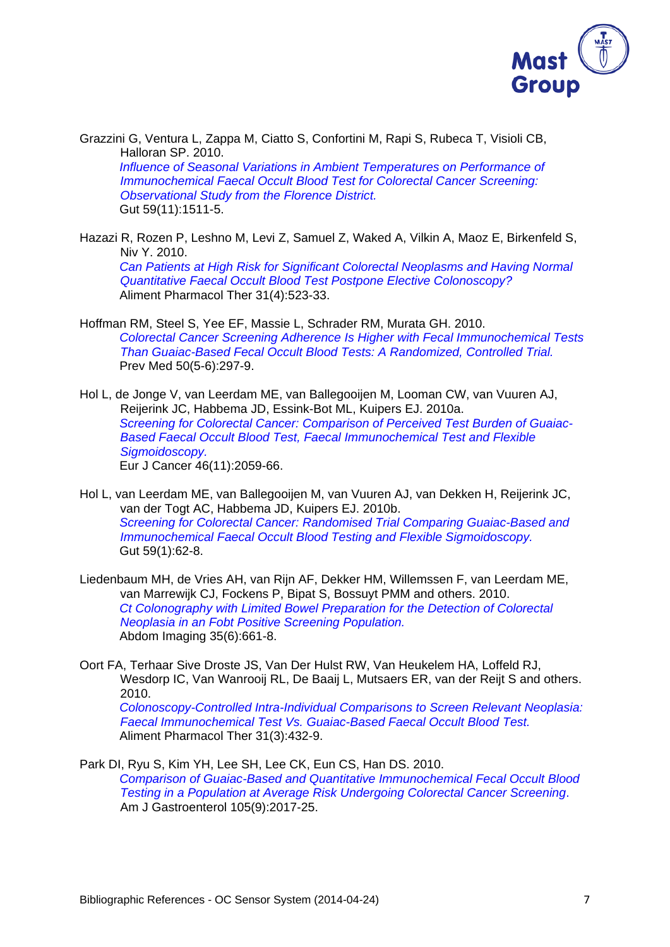

Grazzini G, Ventura L, Zappa M, Ciatto S, Confortini M, Rapi S, Rubeca T, Visioli CB, Halloran SP. 2010. *Influence of Seasonal Variations in Ambient Temperatures on Performance of Immunochemical Faecal Occult Blood Test for Colorectal Cancer Screening: Observational Study from the Florence District.*  Gut 59(11):1511-5.

Hazazi R, Rozen P, Leshno M, Levi Z, Samuel Z, Waked A, Vilkin A, Maoz E, Birkenfeld S, Niv Y. 2010. *Can Patients at High Risk for Significant Colorectal Neoplasms and Having Normal Quantitative Faecal Occult Blood Test Postpone Elective Colonoscopy?*  Aliment Pharmacol Ther 31(4):523-33.

- Hoffman RM, Steel S, Yee EF, Massie L, Schrader RM, Murata GH. 2010. *Colorectal Cancer Screening Adherence Is Higher with Fecal Immunochemical Tests Than Guaiac-Based Fecal Occult Blood Tests: A Randomized, Controlled Trial.*  Prev Med 50(5-6):297-9.
- Hol L, de Jonge V, van Leerdam ME, van Ballegooijen M, Looman CW, van Vuuren AJ, Reijerink JC, Habbema JD, Essink-Bot ML, Kuipers EJ. 2010a. *Screening for Colorectal Cancer: Comparison of Perceived Test Burden of Guaiac-Based Faecal Occult Blood Test, Faecal Immunochemical Test and Flexible Sigmoidoscopy.*  Eur J Cancer 46(11):2059-66.
- Hol L, van Leerdam ME, van Ballegooijen M, van Vuuren AJ, van Dekken H, Reijerink JC, van der Togt AC, Habbema JD, Kuipers EJ. 2010b. *Screening for Colorectal Cancer: Randomised Trial Comparing Guaiac-Based and Immunochemical Faecal Occult Blood Testing and Flexible Sigmoidoscopy.*  Gut 59(1):62-8.
- Liedenbaum MH, de Vries AH, van Rijn AF, Dekker HM, Willemssen F, van Leerdam ME, van Marrewijk CJ, Fockens P, Bipat S, Bossuyt PMM and others. 2010. *Ct Colonography with Limited Bowel Preparation for the Detection of Colorectal Neoplasia in an Fobt Positive Screening Population.*  Abdom Imaging 35(6):661-8.
- Oort FA, Terhaar Sive Droste JS, Van Der Hulst RW, Van Heukelem HA, Loffeld RJ, Wesdorp IC, Van Wanrooij RL, De Baaij L, Mutsaers ER, van der Reijt S and others. 2010. *Colonoscopy-Controlled Intra-Individual Comparisons to Screen Relevant Neoplasia:*

*Faecal Immunochemical Test Vs. Guaiac-Based Faecal Occult Blood Test.*  Aliment Pharmacol Ther 31(3):432-9.

Park DI, Ryu S, Kim YH, Lee SH, Lee CK, Eun CS, Han DS. 2010. *Comparison of Guaiac-Based and Quantitative Immunochemical Fecal Occult Blood Testing in a Population at Average Risk Undergoing Colorectal Cancer Screening*. Am J Gastroenterol 105(9):2017-25.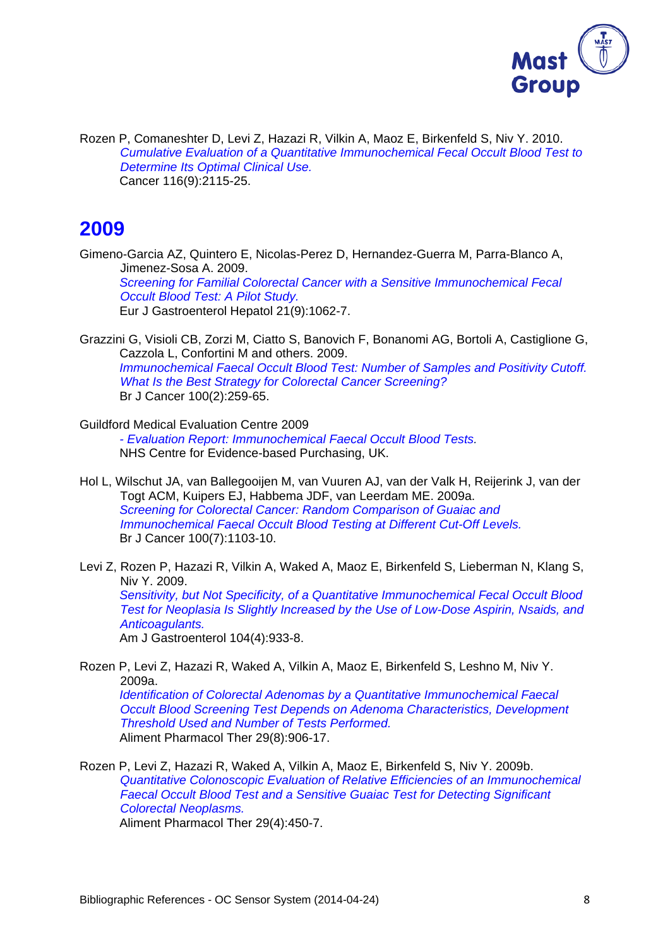

Rozen P, Comaneshter D, Levi Z, Hazazi R, Vilkin A, Maoz E, Birkenfeld S, Niv Y. 2010. *Cumulative Evaluation of a Quantitative Immunochemical Fecal Occult Blood Test to Determine Its Optimal Clinical Use.* Cancer 116(9):2115-25.

#### **2009**

Gimeno-Garcia AZ, Quintero E, Nicolas-Perez D, Hernandez-Guerra M, Parra-Blanco A, Jimenez-Sosa A. 2009. *Screening for Familial Colorectal Cancer with a Sensitive Immunochemical Fecal Occult Blood Test: A Pilot Study.*  Eur J Gastroenterol Hepatol 21(9):1062-7.

Grazzini G, Visioli CB, Zorzi M, Ciatto S, Banovich F, Bonanomi AG, Bortoli A, Castiglione G, Cazzola L, Confortini M and others. 2009. *Immunochemical Faecal Occult Blood Test: Number of Samples and Positivity Cutoff. What Is the Best Strategy for Colorectal Cancer Screening?*  Br J Cancer 100(2):259-65.

- Guildford Medical Evaluation Centre 2009 *- Evaluation Report: Immunochemical Faecal Occult Blood Tests.*  NHS Centre for Evidence-based Purchasing, UK.
- Hol L, Wilschut JA, van Ballegooijen M, van Vuuren AJ, van der Valk H, Reijerink J, van der Togt ACM, Kuipers EJ, Habbema JDF, van Leerdam ME. 2009a. *Screening for Colorectal Cancer: Random Comparison of Guaiac and Immunochemical Faecal Occult Blood Testing at Different Cut-Off Levels.*  Br J Cancer 100(7):1103-10.
- Levi Z, Rozen P, Hazazi R, Vilkin A, Waked A, Maoz E, Birkenfeld S, Lieberman N, Klang S, Niv Y. 2009. *Sensitivity, but Not Specificity, of a Quantitative Immunochemical Fecal Occult Blood Test for Neoplasia Is Slightly Increased by the Use of Low-Dose Aspirin, Nsaids, and Anticoagulants.*  Am J Gastroenterol 104(4):933-8.
- Rozen P, Levi Z, Hazazi R, Waked A, Vilkin A, Maoz E, Birkenfeld S, Leshno M, Niv Y. 2009a. *Identification of Colorectal Adenomas by a Quantitative Immunochemical Faecal Occult Blood Screening Test Depends on Adenoma Characteristics, Development Threshold Used and Number of Tests Performed.*  Aliment Pharmacol Ther 29(8):906-17.
- Rozen P, Levi Z, Hazazi R, Waked A, Vilkin A, Maoz E, Birkenfeld S, Niv Y. 2009b. *Quantitative Colonoscopic Evaluation of Relative Efficiencies of an Immunochemical Faecal Occult Blood Test and a Sensitive Guaiac Test for Detecting Significant Colorectal Neoplasms.*

Aliment Pharmacol Ther 29(4):450-7.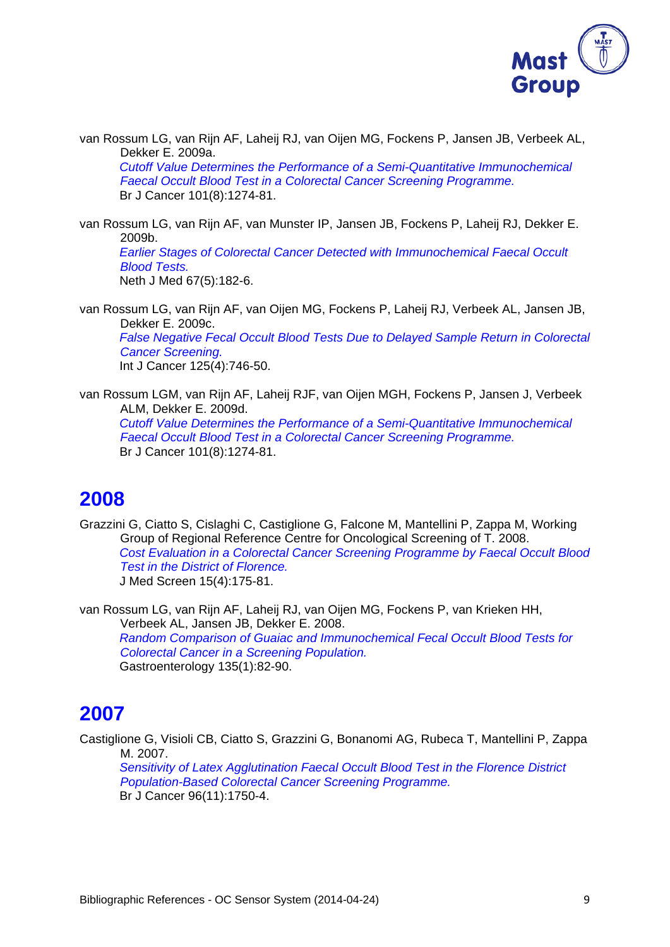

van Rossum LG, van Rijn AF, Laheij RJ, van Oijen MG, Fockens P, Jansen JB, Verbeek AL, Dekker E. 2009a.

*Cutoff Value Determines the Performance of a Semi-Quantitative Immunochemical Faecal Occult Blood Test in a Colorectal Cancer Screening Programme.*  Br J Cancer 101(8):1274-81.

van Rossum LG, van Rijn AF, van Munster IP, Jansen JB, Fockens P, Laheij RJ, Dekker E. 2009b. *Earlier Stages of Colorectal Cancer Detected with Immunochemical Faecal Occult Blood Tests.*  Neth J Med 67(5):182-6.

van Rossum LG, van Rijn AF, van Oijen MG, Fockens P, Laheij RJ, Verbeek AL, Jansen JB, Dekker E. 2009c.

*False Negative Fecal Occult Blood Tests Due to Delayed Sample Return in Colorectal Cancer Screening.*  Int J Cancer 125(4):746-50.

van Rossum LGM, van Rijn AF, Laheij RJF, van Oijen MGH, Fockens P, Jansen J, Verbeek ALM, Dekker E. 2009d. *Cutoff Value Determines the Performance of a Semi-Quantitative Immunochemical Faecal Occult Blood Test in a Colorectal Cancer Screening Programme.*  Br J Cancer 101(8):1274-81.

#### **2008**

Grazzini G, Ciatto S, Cislaghi C, Castiglione G, Falcone M, Mantellini P, Zappa M, Working Group of Regional Reference Centre for Oncological Screening of T. 2008. *Cost Evaluation in a Colorectal Cancer Screening Programme by Faecal Occult Blood Test in the District of Florence.*  J Med Screen 15(4):175-81.

van Rossum LG, van Rijn AF, Laheij RJ, van Oijen MG, Fockens P, van Krieken HH, Verbeek AL, Jansen JB, Dekker E. 2008. *Random Comparison of Guaiac and Immunochemical Fecal Occult Blood Tests for Colorectal Cancer in a Screening Population.*  Gastroenterology 135(1):82-90.

## **2007**

Castiglione G, Visioli CB, Ciatto S, Grazzini G, Bonanomi AG, Rubeca T, Mantellini P, Zappa M. 2007.

*Sensitivity of Latex Agglutination Faecal Occult Blood Test in the Florence District Population-Based Colorectal Cancer Screening Programme.*  Br J Cancer 96(11):1750-4.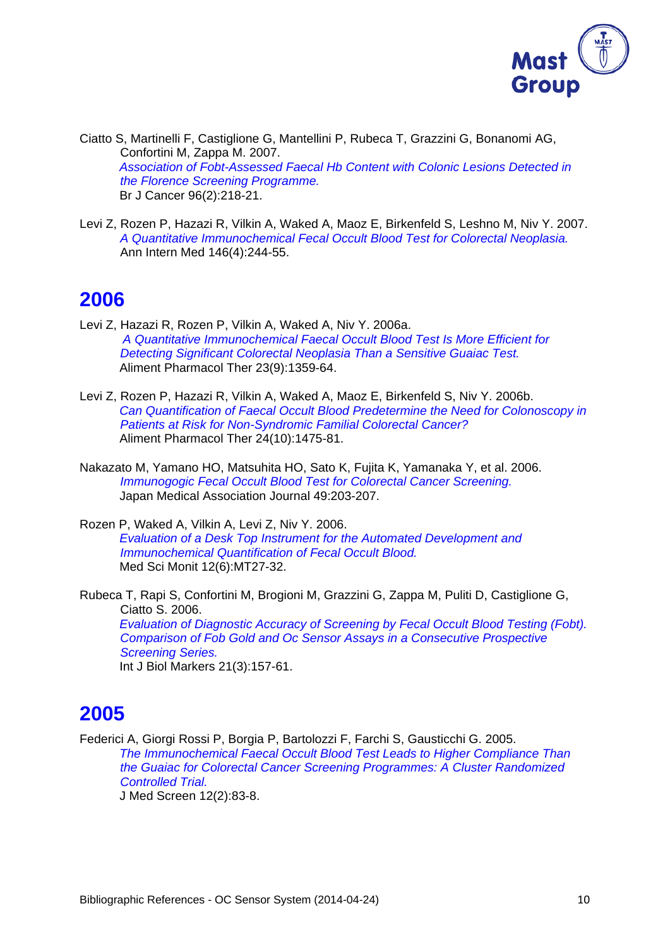

Ciatto S, Martinelli F, Castiglione G, Mantellini P, Rubeca T, Grazzini G, Bonanomi AG, Confortini M, Zappa M. 2007. *Association of Fobt-Assessed Faecal Hb Content with Colonic Lesions Detected in the Florence Screening Programme.*  Br J Cancer 96(2):218-21.

Levi Z, Rozen P, Hazazi R, Vilkin A, Waked A, Maoz E, Birkenfeld S, Leshno M, Niv Y. 2007. *A Quantitative Immunochemical Fecal Occult Blood Test for Colorectal Neoplasia.* Ann Intern Med 146(4):244-55.

#### **2006**

- Levi Z, Hazazi R, Rozen P, Vilkin A, Waked A, Niv Y. 2006a. *A Quantitative Immunochemical Faecal Occult Blood Test Is More Efficient for Detecting Significant Colorectal Neoplasia Than a Sensitive Guaiac Test.*  Aliment Pharmacol Ther 23(9):1359-64.
- Levi Z, Rozen P, Hazazi R, Vilkin A, Waked A, Maoz E, Birkenfeld S, Niv Y. 2006b. *Can Quantification of Faecal Occult Blood Predetermine the Need for Colonoscopy in Patients at Risk for Non-Syndromic Familial Colorectal Cancer?*  Aliment Pharmacol Ther 24(10):1475-81.
- Nakazato M, Yamano HO, Matsuhita HO, Sato K, Fujita K, Yamanaka Y, et al. 2006. *Immunogogic Fecal Occult Blood Test for Colorectal Cancer Screening.* Japan Medical Association Journal 49:203-207.
- Rozen P, Waked A, Vilkin A, Levi Z, Niv Y. 2006. *Evaluation of a Desk Top Instrument for the Automated Development and Immunochemical Quantification of Fecal Occult Blood.*  Med Sci Monit 12(6):MT27-32.

Rubeca T, Rapi S, Confortini M, Brogioni M, Grazzini G, Zappa M, Puliti D, Castiglione G, Ciatto S. 2006. *Evaluation of Diagnostic Accuracy of Screening by Fecal Occult Blood Testing (Fobt). Comparison of Fob Gold and Oc Sensor Assays in a Consecutive Prospective Screening Series.*  Int J Biol Markers 21(3):157-61.

## **2005**

Federici A, Giorgi Rossi P, Borgia P, Bartolozzi F, Farchi S, Gausticchi G. 2005. *The Immunochemical Faecal Occult Blood Test Leads to Higher Compliance Than the Guaiac for Colorectal Cancer Screening Programmes: A Cluster Randomized Controlled Trial.*  J Med Screen 12(2):83-8.